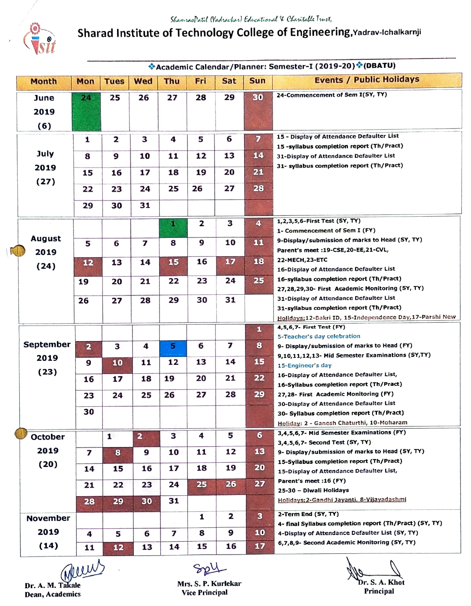

Sharad Institute of Technology College of Engineering, Yadrav-ichalkarnji

|  |                               |                         |              |                         |     |     |            |                         | *Academic Calendar/Planner: Semester-I (2019-20)*(DBATU)                                                   |
|--|-------------------------------|-------------------------|--------------|-------------------------|-----|-----|------------|-------------------------|------------------------------------------------------------------------------------------------------------|
|  | <b>Month</b>                  | Mon                     | <b>Tues</b>  | <b>Wed</b>              | Thu | Fri | <b>Sat</b> | Sun                     | <b>Events / Public Holidays</b>                                                                            |
|  | June                          | 24.                     | 25           | 26                      | 27  | 28  | 29         | 30                      | 24-Commencement of Sem I(SY, TY)                                                                           |
|  | 2019                          |                         |              |                         |     |     |            |                         |                                                                                                            |
|  |                               |                         |              |                         |     |     |            |                         |                                                                                                            |
|  | (6)                           |                         |              |                         |     |     |            |                         |                                                                                                            |
|  |                               | 1                       | 2            | З                       | 4   | 5   | 6          | $\overline{z}$          | 15 - Display of Attendance Defaulter List<br>15 - syllabus completion report (Th/Pract)                    |
|  | July                          | 8                       | 9            | 10                      | 11  | 12  | 13         | 14                      | 31-Display of Attendance Defaulter List                                                                    |
|  | 2019<br>(27)                  |                         |              |                         |     |     |            |                         | 31- syllabus completion report (Th/Pract)                                                                  |
|  |                               | 15                      | 16           | 17                      | 18  | 19  | 20         | 21                      |                                                                                                            |
|  |                               | 22                      | 23           | 24                      | 25  | 26  | 27         | 28                      |                                                                                                            |
|  |                               | 29                      | 30           | 31                      |     |     |            |                         |                                                                                                            |
|  |                               |                         |              |                         |     |     |            |                         |                                                                                                            |
|  |                               |                         |              |                         | D.  | 2   | з          | $\blacktriangleleft$    | 1,2,3,5,6-First Test (SY, TY)                                                                              |
|  | <b>August</b><br>2019<br>(24) |                         |              |                         |     |     |            |                         | 1- Commencement of Sem I (FY)<br>9-Display/submission of marks to Head (SY, TY)                            |
|  |                               | 5                       | 6            | 7                       | 8   | 9   | 10         | 11                      | Parent's meet :19-CSE, 20-EE, 21-CVL,                                                                      |
|  |                               | 12                      | 13           | 14                      | 15  | 16  | 17         | 18                      | 22-MECH, 23-ETC                                                                                            |
|  |                               |                         |              |                         |     |     |            |                         | 16-Display of Attendance Defaulter List                                                                    |
|  |                               | 19                      | 20           | 21                      | 22  | 23  | 24         | 25                      | 16-syllabus completion report (Th/Pract)                                                                   |
|  |                               |                         |              |                         |     |     |            |                         | 27,28,29,30- First Academic Monitoring (SY, TY)                                                            |
|  |                               | 26                      | 27           | 28                      | 29  | 30  | 31         |                         | 31-Display of Attendance Defaulter List                                                                    |
|  |                               |                         |              |                         |     |     |            |                         | 31-syllabus completion report (Th/Pract)<br>Holidays: 12-Bakri ID, 15-Independence Day, 17-Parshi New      |
|  |                               |                         |              |                         |     |     |            | $\mathbf{1}$            | 4,5,6,7- First Test (FY)                                                                                   |
|  |                               |                         |              |                         |     |     |            |                         | 5-Teacher's day celebration                                                                                |
|  | <b>September</b>              | $\overline{\mathbf{a}}$ | з            | 4                       | 5   | 6   | 7          | 8                       | 9- Display/submission of marks to Head (FY)                                                                |
|  | 2019                          | 9                       | 10           | 11                      | 12  | 13  | 14         | 15                      | 9,10,11,12,13- Mid Semester Examinations (SY,TY)                                                           |
|  | (23)                          |                         |              |                         |     |     |            |                         | 15-Engineer's day<br>16-Display of Attendance Defaulter List,                                              |
|  |                               | 16                      | 17           | 18                      | 19  | 20  | 21         | 22                      | 16-Syllabus completion report (Th/Pract)                                                                   |
|  |                               | 23                      | 24           | 25                      | 26  | 27  | 28         | 29                      | 27,28- First Academic Monitoring (FY)                                                                      |
|  |                               |                         |              |                         |     |     |            |                         | 30-Display of Attendance Defaulter List                                                                    |
|  |                               | 30                      |              |                         |     |     |            |                         | 30- Syllabus completion report (Th/Pract)                                                                  |
|  |                               |                         |              |                         |     |     |            |                         | Holiday: 2 - Ganesh Chaturthi, 10-Moharam                                                                  |
|  | <b>October</b>                |                         | $\mathbf{1}$ | $\overline{\mathbf{a}}$ | 3   | 4   | 5          | $\bullet$               | 3,4,5,6,7- Mid Semester Examinations (FY)<br>3,4,5,6,7- Second Test (SY, TY)                               |
|  | 2019                          | 7                       | 8            | 9                       | 10  | 11  | 12         | 13                      | 9- Display/submission of marks to Head (SY, TY)                                                            |
|  | (20)                          |                         |              |                         |     |     |            |                         | 15-Syllabus completion report (Th/Pract)                                                                   |
|  |                               | 14                      | 15           | 16                      | 17  | 18  | 19         | 20                      | 15-Display of Attendance Defaulter List,                                                                   |
|  |                               | 21                      | 22           | 23                      | 24  | 25  | 26         | 27                      | Parent's meet :16 (FY)                                                                                     |
|  |                               |                         |              |                         |     |     |            |                         | 25-30 - Diwali Holidays<br>Holidays: 2-Gandhi Jayanti, 8-Vijayadashmi                                      |
|  |                               | 28                      | 29           | 30                      | 31  |     |            |                         |                                                                                                            |
|  | <b>November</b>               |                         |              |                         |     | 1   | 2          | $\overline{\mathbf{3}}$ | 2-Term End (SY, TY)                                                                                        |
|  | 2019                          | 4                       | 5            | 6                       | 7   | 8   | 9          | 10                      | 4- final Syllabus completion report (Th/Pract) (SY, TY)<br>4-Display of Attendance Defaulter List (SY, TY) |
|  |                               |                         |              |                         |     |     |            |                         | 6,7,8,9- Second Academic Monitoring (SY, TY)                                                               |
|  | (14)                          | 11                      | 12           | 13                      | 14  | 15  | 16         | 17                      |                                                                                                            |

Dean, Academics

Sopy

Dr. A. M. Takale Mrs. S. P. Kurlekar Dean, Academics Dean, Academics Dean, Academics